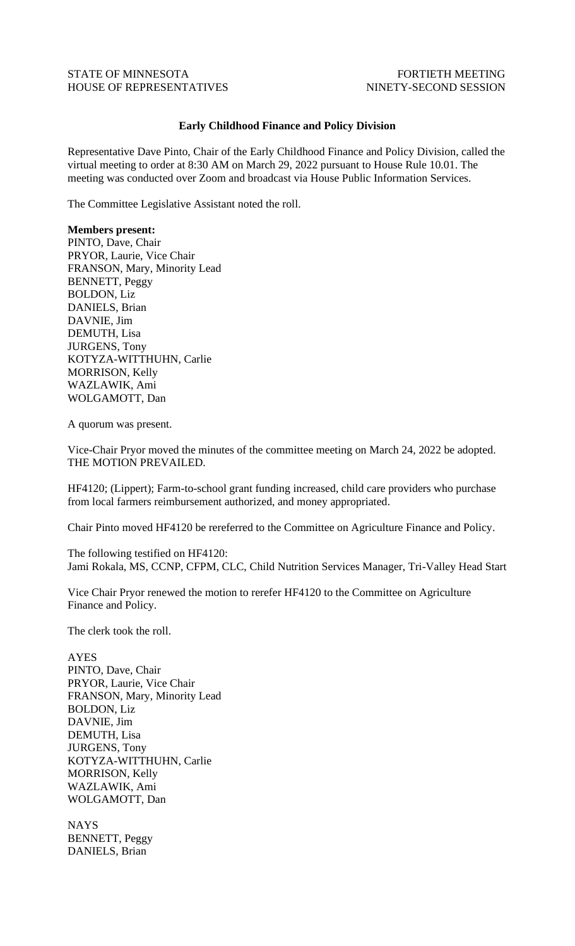## STATE OF MINNESOTA FOR THE FORTIETH MEETING HOUSE OF REPRESENTATIVES NINETY-SECOND SESSION

## **Early Childhood Finance and Policy Division**

Representative Dave Pinto, Chair of the Early Childhood Finance and Policy Division, called the virtual meeting to order at 8:30 AM on March 29, 2022 pursuant to House Rule 10.01. The meeting was conducted over Zoom and broadcast via House Public Information Services.

The Committee Legislative Assistant noted the roll.

## **Members present:**

PINTO, Dave, Chair PRYOR, Laurie, Vice Chair FRANSON, Mary, Minority Lead BENNETT, Peggy BOLDON, Liz DANIELS, Brian DAVNIE, Jim DEMUTH, Lisa JURGENS, Tony KOTYZA-WITTHUHN, Carlie MORRISON, Kelly WAZLAWIK, Ami WOLGAMOTT, Dan

A quorum was present.

Vice-Chair Pryor moved the minutes of the committee meeting on March 24, 2022 be adopted. THE MOTION PREVAILED.

HF4120; (Lippert); Farm-to-school grant funding increased, child care providers who purchase from local farmers reimbursement authorized, and money appropriated.

Chair Pinto moved HF4120 be rereferred to the Committee on Agriculture Finance and Policy.

The following testified on HF4120: Jami Rokala, MS, CCNP, CFPM, CLC, Child Nutrition Services Manager, Tri-Valley Head Start

Vice Chair Pryor renewed the motion to rerefer HF4120 to the Committee on Agriculture Finance and Policy.

The clerk took the roll.

AYES PINTO, Dave, Chair PRYOR, Laurie, Vice Chair FRANSON, Mary, Minority Lead BOLDON, Liz DAVNIE, Jim DEMUTH, Lisa JURGENS, Tony KOTYZA-WITTHUHN, Carlie MORRISON, Kelly WAZLAWIK, Ami WOLGAMOTT, Dan

NAYS BENNETT, Peggy DANIELS, Brian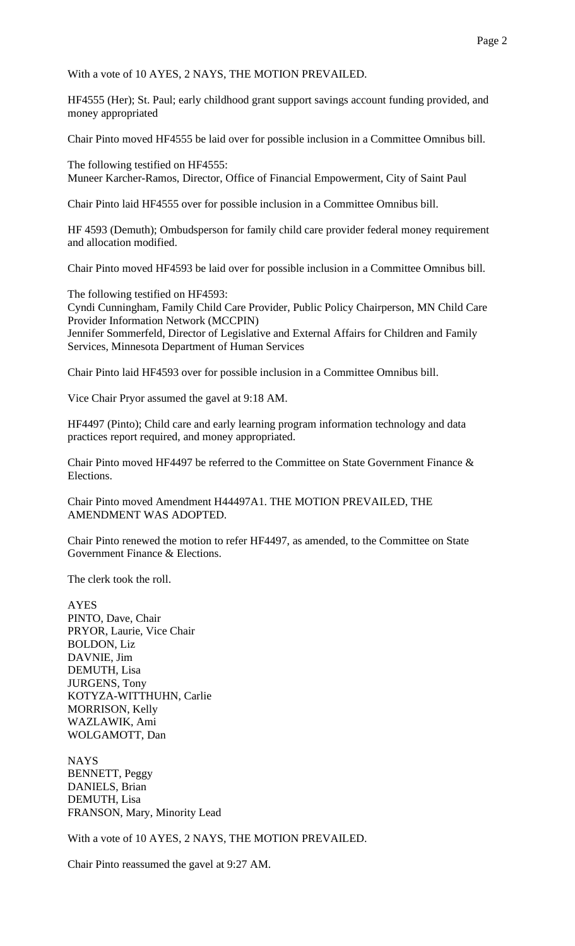With a vote of 10 AYES, 2 NAYS, THE MOTION PREVAILED.

HF4555 (Her); St. Paul; early childhood grant support savings account funding provided, and money appropriated

Chair Pinto moved HF4555 be laid over for possible inclusion in a Committee Omnibus bill.

The following testified on HF4555: Muneer Karcher-Ramos, Director, Office of Financial Empowerment, City of Saint Paul

Chair Pinto laid HF4555 over for possible inclusion in a Committee Omnibus bill.

HF 4593 (Demuth); Ombudsperson for family child care provider federal money requirement and allocation modified.

Chair Pinto moved HF4593 be laid over for possible inclusion in a Committee Omnibus bill.

The following testified on HF4593: Cyndi Cunningham, Family Child Care Provider, Public Policy Chairperson, MN Child Care Provider Information Network (MCCPIN) Jennifer Sommerfeld, Director of Legislative and External Affairs for Children and Family Services, Minnesota Department of Human Services

Chair Pinto laid HF4593 over for possible inclusion in a Committee Omnibus bill.

Vice Chair Pryor assumed the gavel at 9:18 AM.

HF4497 (Pinto); Child care and early learning program information technology and data practices report required, and money appropriated.

Chair Pinto moved HF4497 be referred to the Committee on State Government Finance & Elections.

Chair Pinto moved Amendment H44497A1. THE MOTION PREVAILED, THE AMENDMENT WAS ADOPTED.

Chair Pinto renewed the motion to refer HF4497, as amended, to the Committee on State Government Finance & Elections.

The clerk took the roll.

AYES PINTO, Dave, Chair PRYOR, Laurie, Vice Chair BOLDON, Liz DAVNIE, Jim DEMUTH, Lisa JURGENS, Tony KOTYZA-WITTHUHN, Carlie MORRISON, Kelly WAZLAWIK, Ami WOLGAMOTT, Dan

NAYS BENNETT, Peggy DANIELS, Brian DEMUTH, Lisa FRANSON, Mary, Minority Lead

With a vote of 10 AYES, 2 NAYS, THE MOTION PREVAILED.

Chair Pinto reassumed the gavel at 9:27 AM.